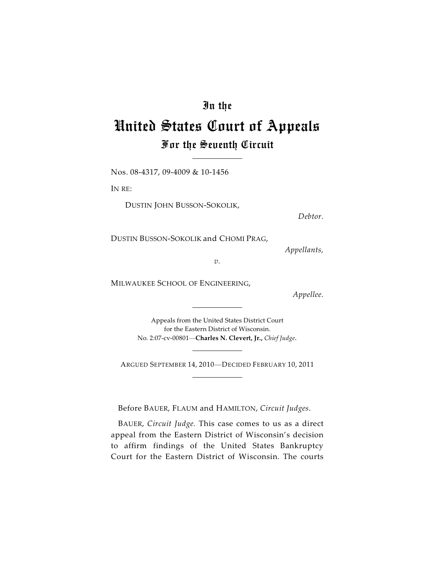## In the

# United States Court of Appeals For the Seventh Circuit

Nos. 08-4317, 09-4009 & 10-1456

IN RE:

DUSTIN JOHN BUSSON-SOKOLIK,

*Debtor.*

DUSTIN BUSSON-SOKOLIK and CHOMI PRAG,

*Appellants,*

*v.*

MILWAUKEE SCHOOL OF ENGINEERING,

*Appellee.*

Appeals from the United States District Court for the Eastern District of Wisconsin. No. 2:07-cv-00801—**Charles N. Clevert, Jr.,** *Chief Judge.*

ARGUED SEPTEMBER 14, 2010—DECIDED FEBRUARY 10, 2011

Before BAUER, FLAUM and HAMILTON, *Circuit Judges*.

BAUER, *Circuit Judge.* This case comes to us as a direct appeal from the Eastern District of Wisconsin's decision to affirm findings of the United States Bankruptcy Court for the Eastern District of Wisconsin. The courts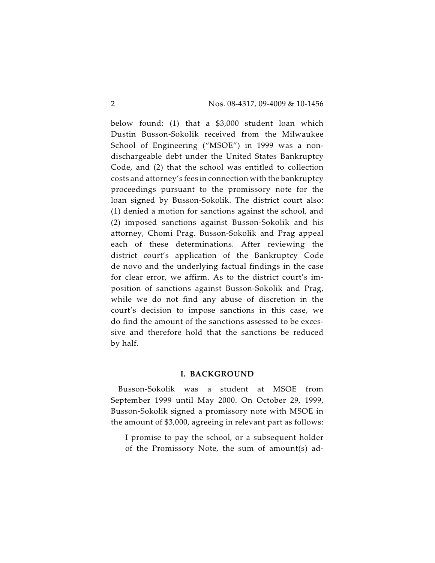below found: (1) that a \$3,000 student loan which Dustin Busson-Sokolik received from the Milwaukee School of Engineering ("MSOE") in 1999 was a nondischargeable debt under the United States Bankruptcy Code, and (2) that the school was entitled to collection costs and attorney's fees in connection with the bankruptcy proceedings pursuant to the promissory note for the loan signed by Busson-Sokolik. The district court also: (1) denied a motion for sanctions against the school, and (2) imposed sanctions against Busson-Sokolik and his attorney, Chomi Prag. Busson-Sokolik and Prag appeal each of these determinations. After reviewing the district court's application of the Bankruptcy Code de novo and the underlying factual findings in the case for clear error, we affirm. As to the district court's imposition of sanctions against Busson-Sokolik and Prag, while we do not find any abuse of discretion in the court's decision to impose sanctions in this case, we do find the amount of the sanctions assessed to be excessive and therefore hold that the sanctions be reduced by half.

#### **I. BACKGROUND**

Busson-Sokolik was a student at MSOE from September 1999 until May 2000. On October 29, 1999, Busson-Sokolik signed a promissory note with MSOE in the amount of \$3,000, agreeing in relevant part as follows:

I promise to pay the school, or a subsequent holder of the Promissory Note, the sum of amount(s) ad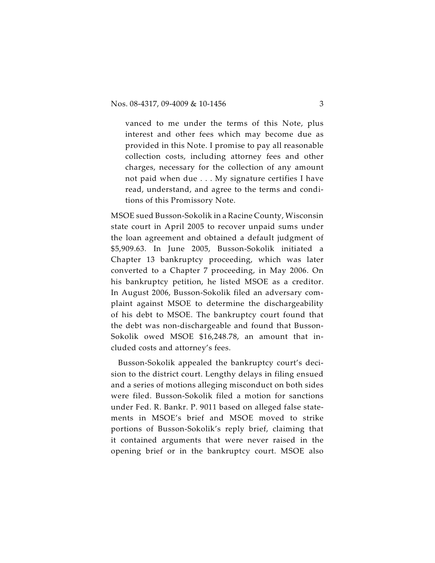vanced to me under the terms of this Note, plus interest and other fees which may become due as provided in this Note. I promise to pay all reasonable collection costs, including attorney fees and other charges, necessary for the collection of any amount not paid when due . . . My signature certifies I have read, understand, and agree to the terms and conditions of this Promissory Note.

MSOE sued Busson-Sokolik in a Racine County, Wisconsin state court in April 2005 to recover unpaid sums under the loan agreement and obtained a default judgment of \$5,909.63. In June 2005, Busson-Sokolik initiated a Chapter 13 bankruptcy proceeding, which was later converted to a Chapter 7 proceeding, in May 2006. On his bankruptcy petition, he listed MSOE as a creditor. In August 2006, Busson-Sokolik filed an adversary complaint against MSOE to determine the dischargeability of his debt to MSOE. The bankruptcy court found that the debt was non-dischargeable and found that Busson-Sokolik owed MSOE \$16,248.78, an amount that included costs and attorney's fees.

Busson-Sokolik appealed the bankruptcy court's decision to the district court. Lengthy delays in filing ensued and a series of motions alleging misconduct on both sides were filed. Busson-Sokolik filed a motion for sanctions under Fed. R. Bankr. P. 9011 based on alleged false statements in MSOE's brief and MSOE moved to strike portions of Busson-Sokolik's reply brief, claiming that it contained arguments that were never raised in the opening brief or in the bankruptcy court. MSOE also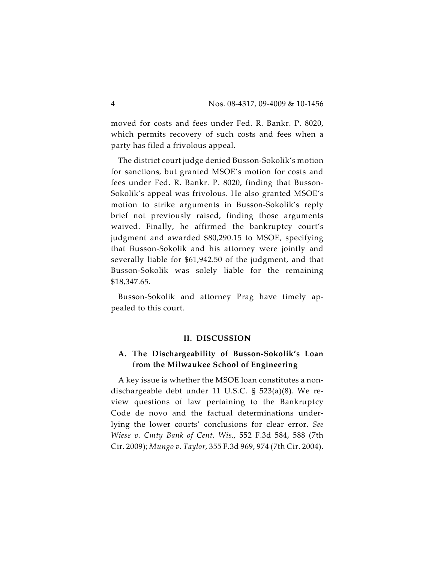moved for costs and fees under Fed. R. Bankr. P. 8020, which permits recovery of such costs and fees when a party has filed a frivolous appeal.

The district court judge denied Busson-Sokolik's motion for sanctions, but granted MSOE's motion for costs and fees under Fed. R. Bankr. P. 8020, finding that Busson-Sokolik's appeal was frivolous. He also granted MSOE's motion to strike arguments in Busson-Sokolik's reply brief not previously raised, finding those arguments waived. Finally, he affirmed the bankruptcy court's judgment and awarded \$80,290.15 to MSOE, specifying that Busson-Sokolik and his attorney were jointly and severally liable for \$61,942.50 of the judgment, and that Busson-Sokolik was solely liable for the remaining \$18,347.65.

Busson-Sokolik and attorney Prag have timely appealed to this court.

#### **II. DISCUSSION**

## **A. The Dischargeability of Busson-Sokolik's Loan from the Milwaukee School of Engineering**

A key issue is whether the MSOE loan constitutes a nondischargeable debt under 11 U.S.C. § 523(a)(8). We review questions of law pertaining to the Bankruptcy Code de novo and the factual determinations underlying the lower courts' conclusions for clear error. *See Wiese v. Cmty Bank of Cent. Wis.,* 552 F.3d 584, 588 (7th Cir. 2009); *Mungo v. Taylor,* 355 F.3d 969, 974 (7th Cir. 2004).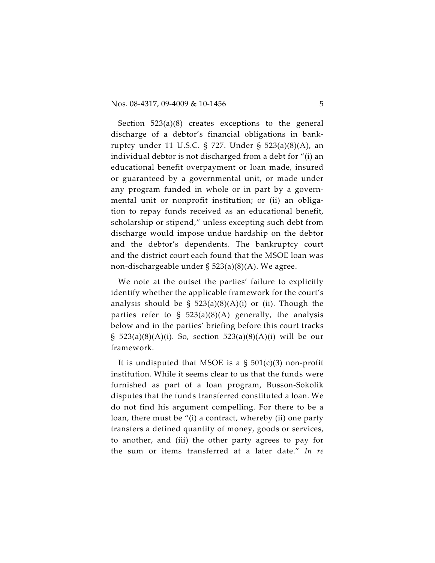Section 523(a)(8) creates exceptions to the general discharge of a debtor's financial obligations in bankruptcy under 11 U.S.C. § 727. Under § 523(a)(8)(A), an individual debtor is not discharged from a debt for "(i) an educational benefit overpayment or loan made, insured or guaranteed by a governmental unit, or made under any program funded in whole or in part by a governmental unit or nonprofit institution; or (ii) an obligation to repay funds received as an educational benefit, scholarship or stipend," unless excepting such debt from discharge would impose undue hardship on the debtor and the debtor's dependents. The bankruptcy court and the district court each found that the MSOE loan was non-dischargeable under § 523(a)(8)(A). We agree.

We note at the outset the parties' failure to explicitly identify whether the applicable framework for the court's analysis should be  $\S$  523(a)(8)(A)(i) or (ii). Though the parties refer to  $\hat{S}$  523(a)(8)(A) generally, the analysis below and in the parties' briefing before this court tracks § 523(a)(8)(A)(i). So, section 523(a)(8)(A)(i) will be our framework.

It is undisputed that MSOE is a  $\S$  501(c)(3) non-profit institution. While it seems clear to us that the funds were furnished as part of a loan program, Busson-Sokolik disputes that the funds transferred constituted a loan. We do not find his argument compelling. For there to be a loan, there must be "(i) a contract, whereby (ii) one party transfers a defined quantity of money, goods or services, to another, and (iii) the other party agrees to pay for the sum or items transferred at a later date." *In re*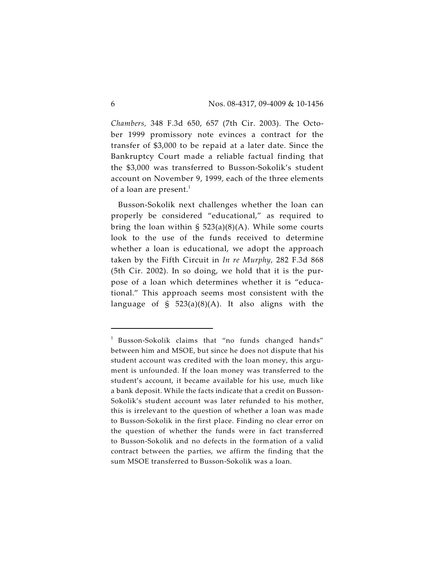*Chambers,* 348 F.3d 650, 657 (7th Cir. 2003). The October 1999 promissory note evinces a contract for the transfer of \$3,000 to be repaid at a later date. Since the Bankruptcy Court made a reliable factual finding that the \$3,000 was transferred to Busson-Sokolik's student account on November 9, 1999, each of the three elements of a loan are present. $1$ 

Busson-Sokolik next challenges whether the loan can properly be considered "educational," as required to bring the loan within  $\S$  523(a)(8)(A). While some courts look to the use of the funds received to determine whether a loan is educational, we adopt the approach taken by the Fifth Circuit in *In re Murphy,* 282 F.3d 868 (5th Cir. 2002). In so doing, we hold that it is the purpose of a loan which determines whether it is "educational." This approach seems most consistent with the language of  $\S$  523(a)(8)(A). It also aligns with the

<sup>&</sup>lt;sup>1</sup> Busson-Sokolik claims that "no funds changed hands" between him and MSOE, but since he does not dispute that his student account was credited with the loan money, this argument is unfounded. If the loan money was transferred to the student's account, it became available for his use, much like a bank deposit. While the facts indicate that a credit on Busson-Sokolik's student account was later refunded to his mother, this is irrelevant to the question of whether a loan was made to Busson-Sokolik in the first place. Finding no clear error on the question of whether the funds were in fact transferred to Busson-Sokolik and no defects in the formation of a valid contract between the parties, we affirm the finding that the sum MSOE transferred to Busson-Sokolik was a loan.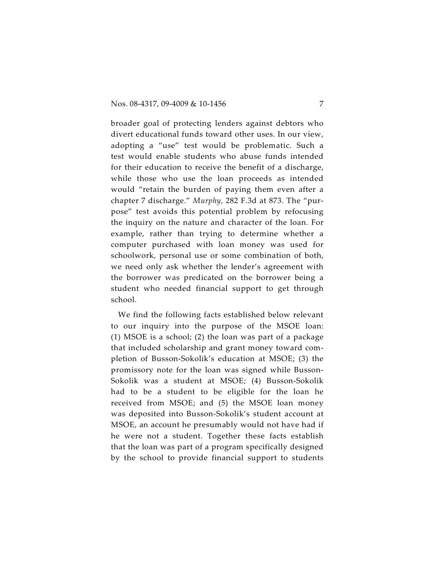broader goal of protecting lenders against debtors who divert educational funds toward other uses. In our view, adopting a "use" test would be problematic. Such a test would enable students who abuse funds intended for their education to receive the benefit of a discharge, while those who use the loan proceeds as intended would "retain the burden of paying them even after a chapter 7 discharge." *Murphy,* 282 F.3d at 873. The "purpose" test avoids this potential problem by refocusing the inquiry on the nature and character of the loan. For example, rather than trying to determine whether a computer purchased with loan money was used for schoolwork, personal use or some combination of both, we need only ask whether the lender's agreement with the borrower was predicated on the borrower being a student who needed financial support to get through school.

We find the following facts established below relevant to our inquiry into the purpose of the MSOE loan: (1) MSOE is a school; (2) the loan was part of a package that included scholarship and grant money toward completion of Busson-Sokolik's education at MSOE; (3) the promissory note for the loan was signed while Busson-Sokolik was a student at MSOE; (4) Busson-Sokolik had to be a student to be eligible for the loan he received from MSOE; and (5) the MSOE loan money was deposited into Busson-Sokolik's student account at MSOE, an account he presumably would not have had if he were not a student. Together these facts establish that the loan was part of a program specifically designed by the school to provide financial support to students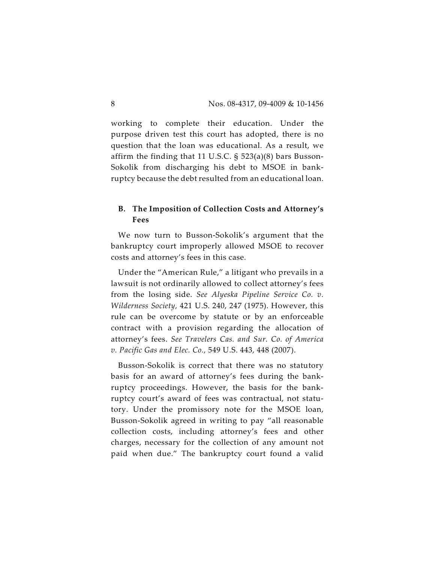working to complete their education. Under the purpose driven test this court has adopted, there is no question that the loan was educational. As a result, we affirm the finding that 11 U.S.C. § 523(a)(8) bars Busson-Sokolik from discharging his debt to MSOE in bankruptcy because the debt resulted from an educational loan.

## **B. The Imposition of Collection Costs and Attorney's Fees**

We now turn to Busson-Sokolik's argument that the bankruptcy court improperly allowed MSOE to recover costs and attorney's fees in this case.

Under the "American Rule," a litigant who prevails in a lawsuit is not ordinarily allowed to collect attorney's fees from the losing side. *See Alyeska Pipeline Service Co. v. Wilderness Society,* 421 U.S. 240, 247 (1975). However, this rule can be overcome by statute or by an enforceable contract with a provision regarding the allocation of attorney's fees. *See Travelers Cas. and Sur. Co. of America v. Pacific Gas and Elec. Co.,* 549 U.S. 443, 448 (2007).

Busson-Sokolik is correct that there was no statutory basis for an award of attorney's fees during the bankruptcy proceedings. However, the basis for the bankruptcy court's award of fees was contractual, not statutory. Under the promissory note for the MSOE loan, Busson-Sokolik agreed in writing to pay "all reasonable collection costs, including attorney's fees and other charges, necessary for the collection of any amount not paid when due." The bankruptcy court found a valid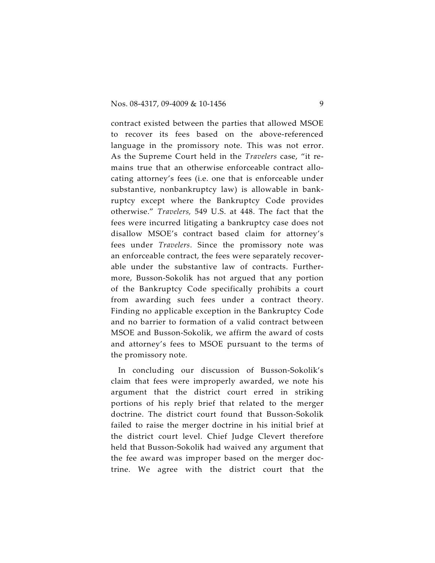contract existed between the parties that allowed MSOE to recover its fees based on the above-referenced language in the promissory note. This was not error. As the Supreme Court held in the *Travelers* case, "it remains true that an otherwise enforceable contract allocating attorney's fees (i.e. one that is enforceable under substantive, nonbankruptcy law) is allowable in bankruptcy except where the Bankruptcy Code provides otherwise." *Travelers,* 549 U.S. at 448. The fact that the fees were incurred litigating a bankruptcy case does not disallow MSOE's contract based claim for attorney's fees under *Travelers*. Since the promissory note was an enforceable contract, the fees were separately recoverable under the substantive law of contracts. Furthermore, Busson-Sokolik has not argued that any portion of the Bankruptcy Code specifically prohibits a court from awarding such fees under a contract theory. Finding no applicable exception in the Bankruptcy Code and no barrier to formation of a valid contract between MSOE and Busson-Sokolik, we affirm the award of costs and attorney's fees to MSOE pursuant to the terms of the promissory note.

In concluding our discussion of Busson-Sokolik's claim that fees were improperly awarded, we note his argument that the district court erred in striking portions of his reply brief that related to the merger doctrine. The district court found that Busson-Sokolik failed to raise the merger doctrine in his initial brief at the district court level. Chief Judge Clevert therefore held that Busson-Sokolik had waived any argument that the fee award was improper based on the merger doctrine. We agree with the district court that the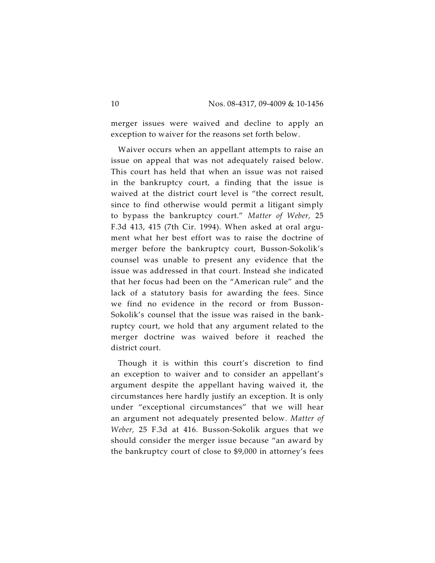merger issues were waived and decline to apply an exception to waiver for the reasons set forth below.

Waiver occurs when an appellant attempts to raise an issue on appeal that was not adequately raised below. This court has held that when an issue was not raised in the bankruptcy court, a finding that the issue is waived at the district court level is "the correct result, since to find otherwise would permit a litigant simply to bypass the bankruptcy court." *Matter of Weber,* 25 F.3d 413, 415 (7th Cir. 1994). When asked at oral argument what her best effort was to raise the doctrine of merger before the bankruptcy court, Busson-Sokolik's counsel was unable to present any evidence that the issue was addressed in that court. Instead she indicated that her focus had been on the "American rule" and the lack of a statutory basis for awarding the fees. Since we find no evidence in the record or from Busson-Sokolik's counsel that the issue was raised in the bankruptcy court, we hold that any argument related to the merger doctrine was waived before it reached the district court.

Though it is within this court's discretion to find an exception to waiver and to consider an appellant's argument despite the appellant having waived it, the circumstances here hardly justify an exception. It is only under "exceptional circumstances" that we will hear an argument not adequately presented below. *Matter of Weber,* 25 F.3d at 416. Busson-Sokolik argues that we should consider the merger issue because "an award by the bankruptcy court of close to \$9,000 in attorney's fees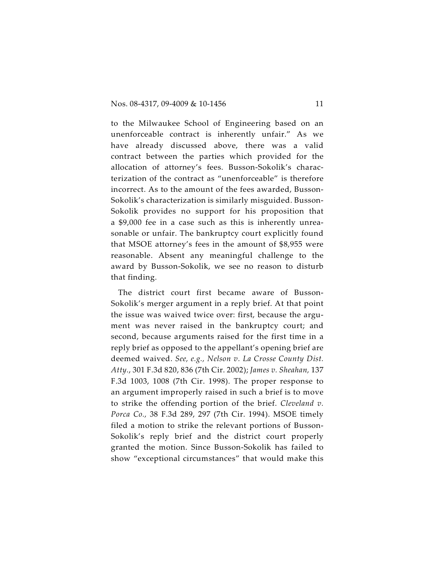to the Milwaukee School of Engineering based on an unenforceable contract is inherently unfair." As we have already discussed above, there was a valid contract between the parties which provided for the allocation of attorney's fees. Busson-Sokolik's characterization of the contract as "unenforceable" is therefore incorrect. As to the amount of the fees awarded, Busson-Sokolik's characterization is similarly misguided. Busson-Sokolik provides no support for his proposition that a \$9,000 fee in a case such as this is inherently unreasonable or unfair. The bankruptcy court explicitly found that MSOE attorney's fees in the amount of \$8,955 were reasonable. Absent any meaningful challenge to the award by Busson-Sokolik, we see no reason to disturb that finding.

The district court first became aware of Busson-Sokolik's merger argument in a reply brief. At that point the issue was waived twice over: first, because the argument was never raised in the bankruptcy court; and second, because arguments raised for the first time in a reply brief as opposed to the appellant's opening brief are deemed waived. *See, e.g., Nelson v. La Crosse County Dist. Atty.*, 301 F.3d 820, 836 (7th Cir. 2002); *James v. Sheahan,* 137 F.3d 1003, 1008 (7th Cir. 1998). The proper response to an argument improperly raised in such a brief is to move to strike the offending portion of the brief. *Cleveland v. Porca Co.,* 38 F.3d 289, 297 (7th Cir. 1994). MSOE timely filed a motion to strike the relevant portions of Busson-Sokolik's reply brief and the district court properly granted the motion. Since Busson-Sokolik has failed to show "exceptional circumstances" that would make this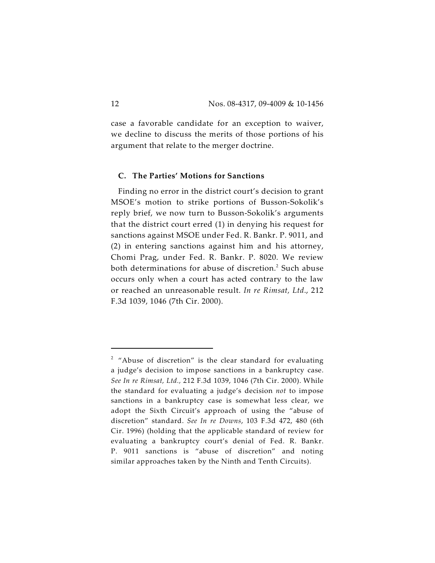case a favorable candidate for an exception to waiver, we decline to discuss the merits of those portions of his argument that relate to the merger doctrine.

#### **C. The Parties' Motions for Sanctions**

Finding no error in the district court's decision to grant MSOE's motion to strike portions of Busson-Sokolik's reply brief, we now turn to Busson-Sokolik's arguments that the district court erred (1) in denying his request for sanctions against MSOE under Fed. R. Bankr. P. 9011, and (2) in entering sanctions against him and his attorney, Chomi Prag, under Fed. R. Bankr. P. 8020. We review both determinations for abuse of discretion.<sup>2</sup> Such abuse occurs only when a court has acted contrary to the law or reached an unreasonable result. *In re Rimsat, Ltd*., 212 F.3d 1039, 1046 (7th Cir. 2000).

 $2$  "Abuse of discretion" is the clear standard for evaluating a judge's decision to impose sanctions in a bankruptcy case. *See In re Rimsat, Ltd.,* 212 F.3d 1039, 1046 (7th Cir. 2000). While the standard for evaluating a judge's decision *not* to impose sanctions in a bankruptcy case is somewhat less clear, we adopt the Sixth Circuit's approach of using the "abuse of discretion" standard. *See In re Downs*, 103 F.3d 472, 480 (6th Cir. 1996) (holding that the applicable standard of review for evaluating a bankruptcy court's denial of Fed. R. Bankr. P. 9011 sanctions is "abuse of discretion" and noting similar approaches taken by the Ninth and Tenth Circuits).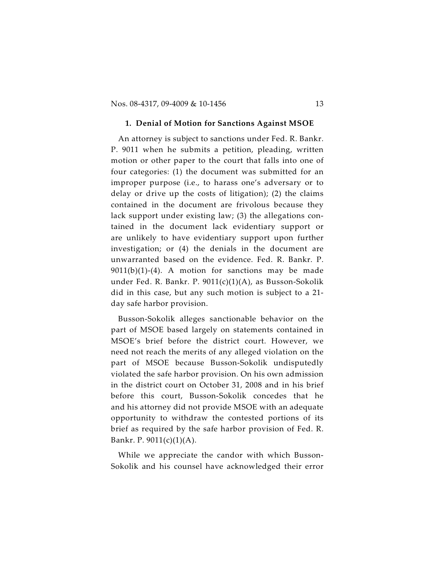#### **1. Denial of Motion for Sanctions Against MSOE**

An attorney is subject to sanctions under Fed. R. Bankr. P. 9011 when he submits a petition, pleading, written motion or other paper to the court that falls into one of four categories: (1) the document was submitted for an improper purpose (i.e., to harass one's adversary or to delay or drive up the costs of litigation); (2) the claims contained in the document are frivolous because they lack support under existing law; (3) the allegations contained in the document lack evidentiary support or are unlikely to have evidentiary support upon further investigation; or (4) the denials in the document are unwarranted based on the evidence. Fed. R. Bankr. P.  $9011(b)(1)-(4)$ . A motion for sanctions may be made under Fed. R. Bankr. P. 9011(c)(1)(A), as Busson-Sokolik did in this case, but any such motion is subject to a 21 day safe harbor provision.

Busson-Sokolik alleges sanctionable behavior on the part of MSOE based largely on statements contained in MSOE's brief before the district court. However, we need not reach the merits of any alleged violation on the part of MSOE because Busson-Sokolik undisputedly violated the safe harbor provision. On his own admission in the district court on October 31, 2008 and in his brief before this court, Busson-Sokolik concedes that he and his attorney did not provide MSOE with an adequate opportunity to withdraw the contested portions of its brief as required by the safe harbor provision of Fed. R. Bankr. P. 9011(c)(1)(A).

While we appreciate the candor with which Busson-Sokolik and his counsel have acknowledged their error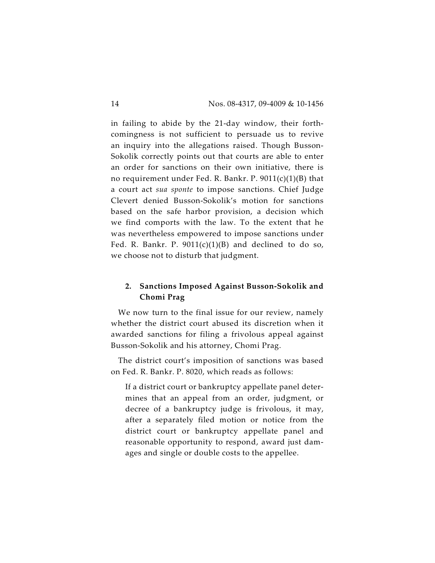in failing to abide by the 21-day window, their forthcomingness is not sufficient to persuade us to revive an inquiry into the allegations raised. Though Busson-Sokolik correctly points out that courts are able to enter an order for sanctions on their own initiative, there is no requirement under Fed. R. Bankr. P. 9011(c)(1)(B) that a court act *sua sponte* to impose sanctions. Chief Judge Clevert denied Busson-Sokolik's motion for sanctions based on the safe harbor provision, a decision which we find comports with the law. To the extent that he was nevertheless empowered to impose sanctions under Fed. R. Bankr. P.  $9011(c)(1)(B)$  and declined to do so, we choose not to disturb that judgment.

## **2. Sanctions Imposed Against Busson-Sokolik and Chomi Prag**

We now turn to the final issue for our review, namely whether the district court abused its discretion when it awarded sanctions for filing a frivolous appeal against Busson-Sokolik and his attorney, Chomi Prag.

The district court's imposition of sanctions was based on Fed. R. Bankr. P. 8020, which reads as follows:

If a district court or bankruptcy appellate panel determines that an appeal from an order, judgment, or decree of a bankruptcy judge is frivolous, it may, after a separately filed motion or notice from the district court or bankruptcy appellate panel and reasonable opportunity to respond, award just damages and single or double costs to the appellee.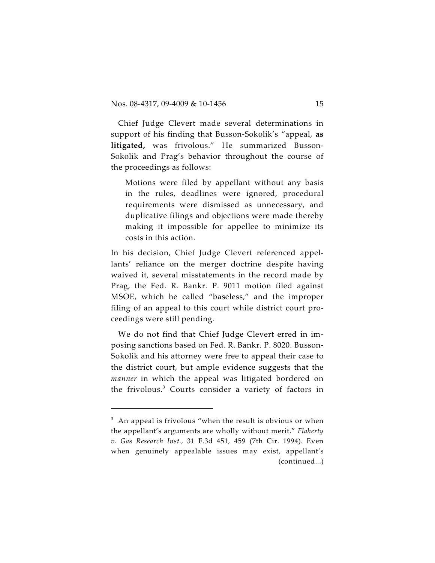Chief Judge Clevert made several determinations in support of his finding that Busson-Sokolik's "appeal, **as litigated,** was frivolous." He summarized Busson-Sokolik and Prag's behavior throughout the course of the proceedings as follows:

Motions were filed by appellant without any basis in the rules, deadlines were ignored, procedural requirements were dismissed as unnecessary, and duplicative filings and objections were made thereby making it impossible for appellee to minimize its costs in this action.

In his decision, Chief Judge Clevert referenced appellants' reliance on the merger doctrine despite having waived it, several misstatements in the record made by Prag, the Fed. R. Bankr. P. 9011 motion filed against MSOE, which he called "baseless," and the improper filing of an appeal to this court while district court proceedings were still pending.

We do not find that Chief Judge Clevert erred in imposing sanctions based on Fed. R. Bankr. P. 8020. Busson-Sokolik and his attorney were free to appeal their case to the district court, but ample evidence suggests that the *manner* in which the appeal was litigated bordered on the frivolous. $3$  Courts consider a variety of factors in

 $^3$  An appeal is frivolous "when the result is obvious or when the appellant's arguments are wholly without merit." *Flaherty v. Gas Research Inst.,* 31 F.3d 451, 459 (7th Cir. 1994). Even when genuinely appealable issues may exist, appellant's (continued...)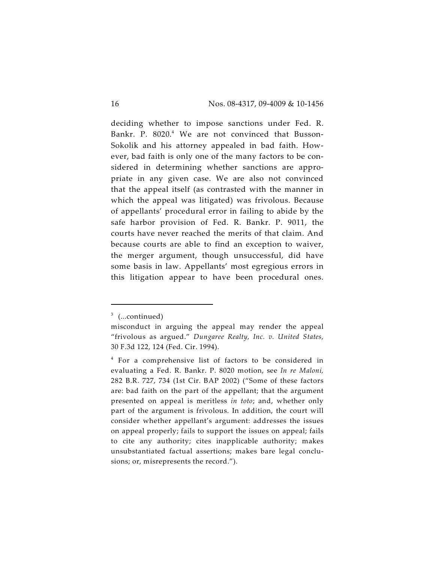deciding whether to impose sanctions under Fed. R. Bankr. P. 8020.<sup>4</sup> We are not convinced that Busson-Sokolik and his attorney appealed in bad faith. However, bad faith is only one of the many factors to be considered in determining whether sanctions are appropriate in any given case. We are also not convinced that the appeal itself (as contrasted with the manner in which the appeal was litigated) was frivolous. Because of appellants' procedural error in failing to abide by the safe harbor provision of Fed. R. Bankr. P. 9011, the courts have never reached the merits of that claim. And because courts are able to find an exception to waiver, the merger argument, though unsuccessful, did have some basis in law. Appellants' most egregious errors in this litigation appear to have been procedural ones.

 $3$  (...continued)

misconduct in arguing the appeal may render the appeal "frivolous as argued." *Dungaree Realty, Inc. v. United States,* 30 F.3d 122, 124 (Fed. Cir. 1994).

 $4$  For a comprehensive list of factors to be considered in evaluating a Fed. R. Bankr. P. 8020 motion, see *In re Maloni,* 282 B.R. 727, 734 (1st Cir. BAP 2002) ("Some of these factors are: bad faith on the part of the appellant; that the argument presented on appeal is meritless *in toto*; and, whether only part of the argument is frivolous. In addition, the court will consider whether appellant's argument: addresses the issues on appeal properly; fails to support the issues on appeal; fails to cite any authority; cites inapplicable authority; makes unsubstantiated factual assertions; makes bare legal conclusions; or, misrepresents the record.").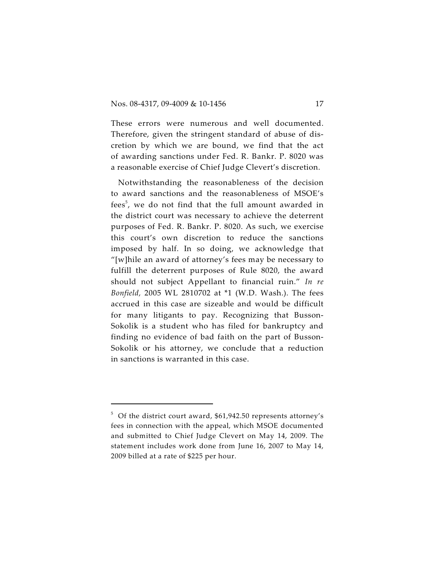These errors were numerous and well documented. Therefore, given the stringent standard of abuse of discretion by which we are bound, we find that the act of awarding sanctions under Fed. R. Bankr. P. 8020 was a reasonable exercise of Chief Judge Clevert's discretion.

Notwithstanding the reasonableness of the decision to award sanctions and the reasonableness of MSOE's fees<sup>5</sup>, we do not find that the full amount awarded in the district court was necessary to achieve the deterrent purposes of Fed. R. Bankr. P. 8020. As such, we exercise this court's own discretion to reduce the sanctions imposed by half. In so doing, we acknowledge that "[w]hile an award of attorney's fees may be necessary to fulfill the deterrent purposes of Rule 8020, the award should not subject Appellant to financial ruin." *In re Bonfield,* 2005 WL 2810702 at \*1 (W.D. Wash.). The fees accrued in this case are sizeable and would be difficult for many litigants to pay. Recognizing that Busson-Sokolik is a student who has filed for bankruptcy and finding no evidence of bad faith on the part of Busson-Sokolik or his attorney, we conclude that a reduction in sanctions is warranted in this case.

 $5$  Of the district court award,  $$61,942.50$  represents attorney's fees in connection with the appeal, which MSOE documented and submitted to Chief Judge Clevert on May 14, 2009. The statement includes work done from June 16, 2007 to May 14, 2009 billed at a rate of \$225 per hour.